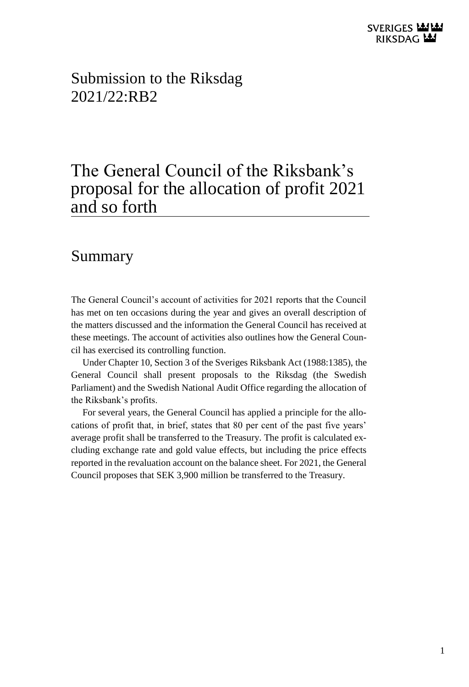Submission to the Riksdag  $2021/22 \cdot R$  $R2$ 

# The General Council of the Riksbank's proposal for the allocation of profit 2021 and so forth

### <span id="page-0-0"></span>Summary

The General Council's account of activities for 2021 reports that the Council has met on ten occasions during the year and gives an overall description of the matters discussed and the information the General Council has received at these meetings. The account of activities also outlines how the General Council has exercised its controlling function.

Under Chapter 10, Section 3 of the Sveriges Riksbank Act (1988:1385), the General Council shall present proposals to the Riksdag (the Swedish Parliament) and the Swedish National Audit Office regarding the allocation of the Riksbank's profits.

For several years, the General Council has applied a principle for the allocations of profit that, in brief, states that 80 per cent of the past five years' average profit shall be transferred to the Treasury. The profit is calculated excluding exchange rate and gold value effects, but including the price effects reported in the revaluation account on the balance sheet. For 2021, the General Council proposes that SEK 3,900 million be transferred to the Treasury.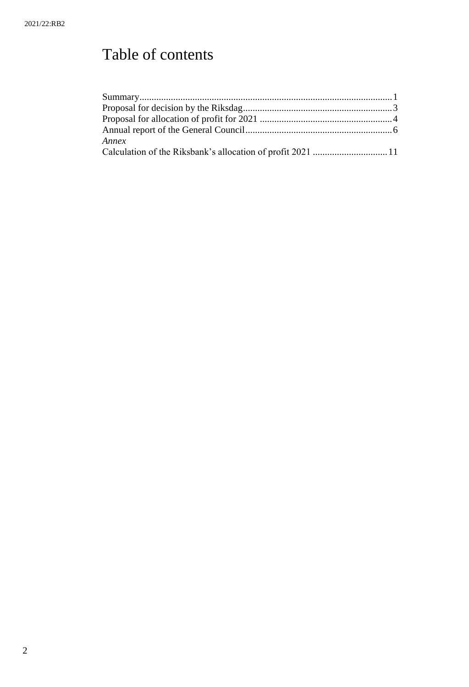# Table of contents

| <i>Annex</i>                                                |  |
|-------------------------------------------------------------|--|
| Calculation of the Riksbank's allocation of profit 2021  11 |  |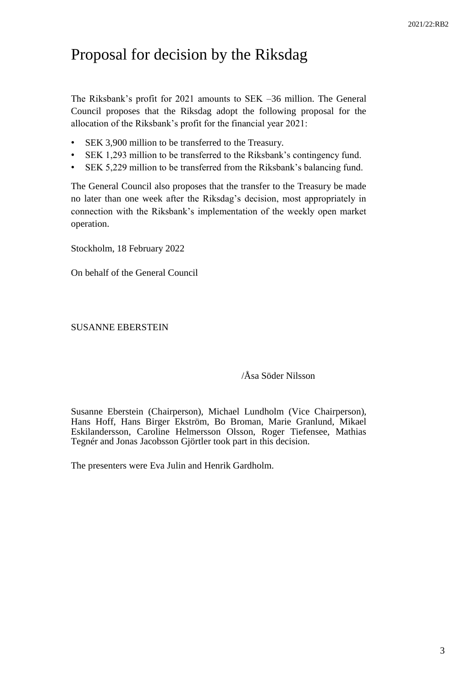# <span id="page-2-0"></span>Proposal for decision by the Riksdag

The Riksbank's profit for 2021 amounts to SEK –36 million. The General Council proposes that the Riksdag adopt the following proposal for the allocation of the Riksbank's profit for the financial year 2021:

- SEK 3,900 million to be transferred to the Treasury.
- SEK 1,293 million to be transferred to the Riksbank's contingency fund.
- SEK 5,229 million to be transferred from the Riksbank's balancing fund.

The General Council also proposes that the transfer to the Treasury be made no later than one week after the Riksdag's decision, most appropriately in connection with the Riksbank's implementation of the weekly open market operation.

Stockholm, 18 February 2022

On behalf of the General Council

SUSANNE EBERSTEIN

#### /Åsa Söder Nilsson

Susanne Eberstein (Chairperson), Michael Lundholm (Vice Chairperson), Hans Hoff, Hans Birger Ekström, Bo Broman, Marie Granlund, Mikael Eskilandersson, Caroline Helmersson Olsson, Roger Tiefensee, Mathias Tegnér and Jonas Jacobsson Gjörtler took part in this decision.

The presenters were Eva Julin and Henrik Gardholm.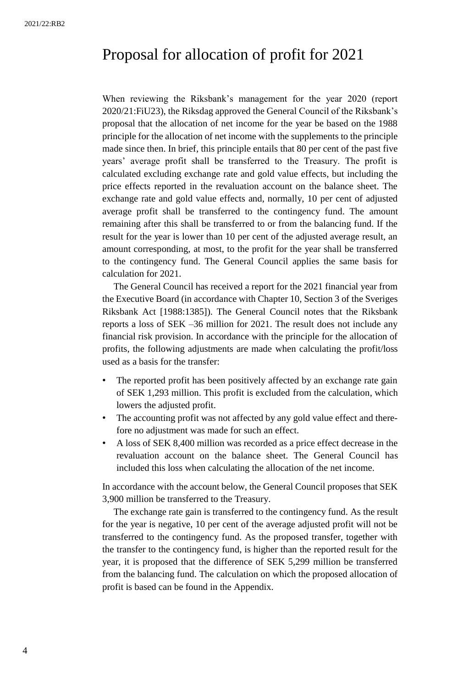## <span id="page-3-0"></span>Proposal for allocation of profit for 2021

When reviewing the Riksbank's management for the year 2020 (report 2020/21:FiU23), the Riksdag approved the General Council of the Riksbank's proposal that the allocation of net income for the year be based on the 1988 principle for the allocation of net income with the supplements to the principle made since then. In brief, this principle entails that 80 per cent of the past five years' average profit shall be transferred to the Treasury. The profit is calculated excluding exchange rate and gold value effects, but including the price effects reported in the revaluation account on the balance sheet. The exchange rate and gold value effects and, normally, 10 per cent of adjusted average profit shall be transferred to the contingency fund. The amount remaining after this shall be transferred to or from the balancing fund. If the result for the year is lower than 10 per cent of the adjusted average result, an amount corresponding, at most, to the profit for the year shall be transferred to the contingency fund. The General Council applies the same basis for calculation for 2021.

The General Council has received a report for the 2021 financial year from the Executive Board (in accordance with Chapter 10, Section 3 of the Sveriges Riksbank Act [1988:1385]). The General Council notes that the Riksbank reports a loss of SEK –36 million for 2021. The result does not include any financial risk provision. In accordance with the principle for the allocation of profits, the following adjustments are made when calculating the profit/loss used as a basis for the transfer:

- The reported profit has been positively affected by an exchange rate gain of SEK 1,293 million. This profit is excluded from the calculation, which lowers the adjusted profit.
- The accounting profit was not affected by any gold value effect and therefore no adjustment was made for such an effect.
- A loss of SEK 8,400 million was recorded as a price effect decrease in the revaluation account on the balance sheet. The General Council has included this loss when calculating the allocation of the net income.

In accordance with the account below, the General Council proposes that SEK 3,900 million be transferred to the Treasury.

The exchange rate gain is transferred to the contingency fund. As the result for the year is negative, 10 per cent of the average adjusted profit will not be transferred to the contingency fund. As the proposed transfer, together with the transfer to the contingency fund, is higher than the reported result for the year, it is proposed that the difference of SEK 5,299 million be transferred from the balancing fund. The calculation on which the proposed allocation of profit is based can be found in the Appendix.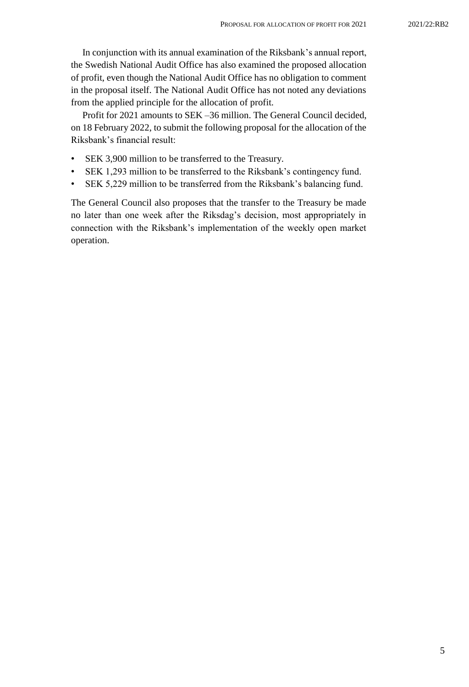In conjunction with its annual examination of the Riksbank's annual report, the Swedish National Audit Office has also examined the proposed allocation of profit, even though the National Audit Office has no obligation to comment in the proposal itself. The National Audit Office has not noted any deviations from the applied principle for the allocation of profit.

Profit for 2021 amounts to SEK –36 million. The General Council decided, on 18 February 2022, to submit the following proposal for the allocation of the Riksbank's financial result:

- SEK 3,900 million to be transferred to the Treasury.
- SEK 1,293 million to be transferred to the Riksbank's contingency fund.
- SEK 5,229 million to be transferred from the Riksbank's balancing fund.

The General Council also proposes that the transfer to the Treasury be made no later than one week after the Riksdag's decision, most appropriately in connection with the Riksbank's implementation of the weekly open market operation.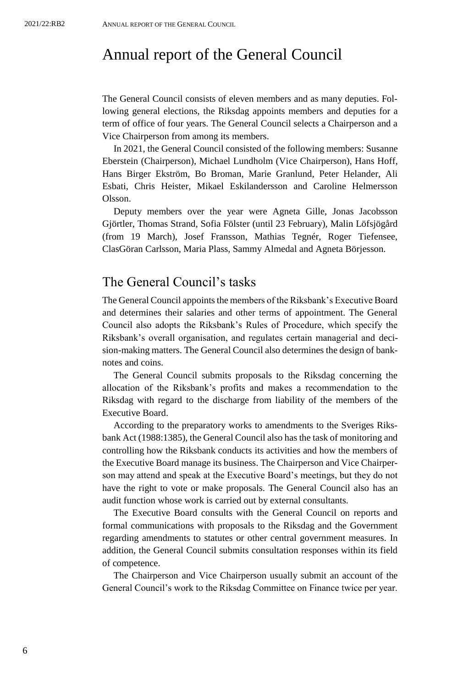### <span id="page-5-0"></span>Annual report of the General Council

The General Council consists of eleven members and as many deputies. Following general elections, the Riksdag appoints members and deputies for a term of office of four years. The General Council selects a Chairperson and a Vice Chairperson from among its members.

In 2021, the General Council consisted of the following members: Susanne Eberstein (Chairperson), Michael Lundholm (Vice Chairperson), Hans Hoff, Hans Birger Ekström, Bo Broman, Marie Granlund, Peter Helander, Ali Esbati, Chris Heister, Mikael Eskilandersson and Caroline Helmersson Olsson.

Deputy members over the year were Agneta Gille, Jonas Jacobsson Gjörtler, Thomas Strand, Sofia Fölster (until 23 February), Malin Löfsjögård (from 19 March), Josef Fransson, Mathias Tegnér, Roger Tiefensee, ClasGöran Carlsson, Maria Plass, Sammy Almedal and Agneta Börjesson.

### The General Council's tasks

The General Council appoints the members of the Riksbank's Executive Board and determines their salaries and other terms of appointment. The General Council also adopts the Riksbank's Rules of Procedure, which specify the Riksbank's overall organisation, and regulates certain managerial and decision-making matters. The General Council also determines the design of banknotes and coins.

The General Council submits proposals to the Riksdag concerning the allocation of the Riksbank's profits and makes a recommendation to the Riksdag with regard to the discharge from liability of the members of the Executive Board.

According to the preparatory works to amendments to the Sveriges Riksbank Act (1988:1385), the General Council also has the task of monitoring and controlling how the Riksbank conducts its activities and how the members of the Executive Board manage its business. The Chairperson and Vice Chairperson may attend and speak at the Executive Board's meetings, but they do not have the right to vote or make proposals. The General Council also has an audit function whose work is carried out by external consultants.

The Executive Board consults with the General Council on reports and formal communications with proposals to the Riksdag and the Government regarding amendments to statutes or other central government measures. In addition, the General Council submits consultation responses within its field of competence.

The Chairperson and Vice Chairperson usually submit an account of the General Council's work to the Riksdag Committee on Finance twice per year.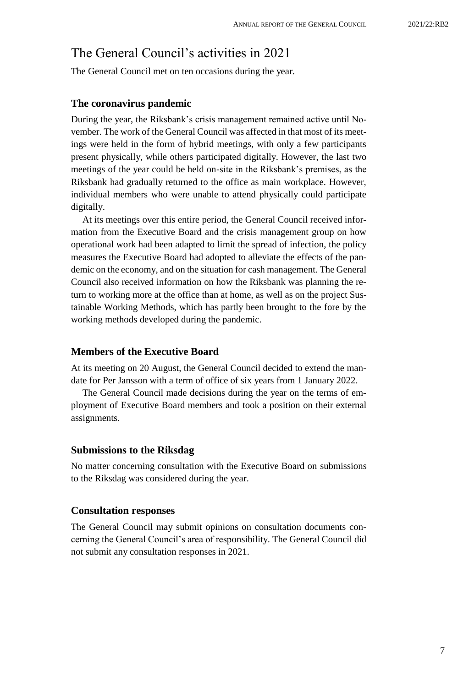### The General Council's activities in 2021

The General Council met on ten occasions during the year.

#### **The coronavirus pandemic**

During the year, the Riksbank's crisis management remained active until November. The work of the General Council was affected in that most of its meetings were held in the form of hybrid meetings, with only a few participants present physically, while others participated digitally. However, the last two meetings of the year could be held on-site in the Riksbank's premises, as the Riksbank had gradually returned to the office as main workplace. However, individual members who were unable to attend physically could participate digitally.

At its meetings over this entire period, the General Council received information from the Executive Board and the crisis management group on how operational work had been adapted to limit the spread of infection, the policy measures the Executive Board had adopted to alleviate the effects of the pandemic on the economy, and on the situation for cash management. The General Council also received information on how the Riksbank was planning the return to working more at the office than at home, as well as on the project Sustainable Working Methods, which has partly been brought to the fore by the working methods developed during the pandemic.

#### **Members of the Executive Board**

At its meeting on 20 August, the General Council decided to extend the mandate for Per Jansson with a term of office of six years from 1 January 2022.

The General Council made decisions during the year on the terms of employment of Executive Board members and took a position on their external assignments.

#### **Submissions to the Riksdag**

No matter concerning consultation with the Executive Board on submissions to the Riksdag was considered during the year.

#### **Consultation responses**

The General Council may submit opinions on consultation documents concerning the General Council's area of responsibility. The General Council did not submit any consultation responses in 2021.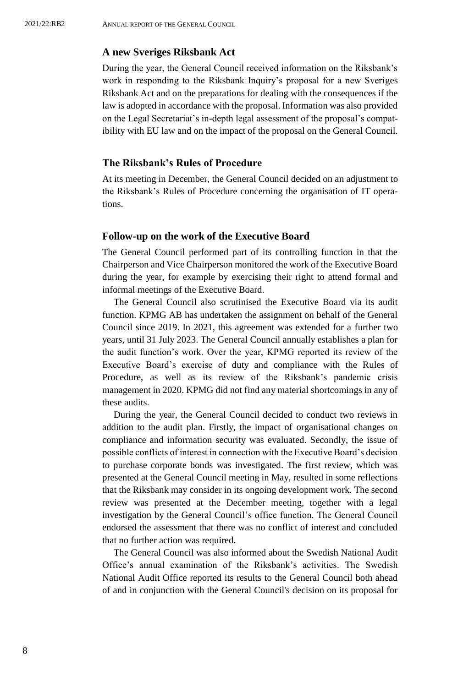#### **A new Sveriges Riksbank Act**

During the year, the General Council received information on the Riksbank's work in responding to the Riksbank Inquiry's proposal for a new Sveriges Riksbank Act and on the preparations for dealing with the consequences if the law is adopted in accordance with the proposal. Information was also provided on the Legal Secretariat's in-depth legal assessment of the proposal's compatibility with EU law and on the impact of the proposal on the General Council.

#### **The Riksbank's Rules of Procedure**

At its meeting in December, the General Council decided on an adjustment to the Riksbank's Rules of Procedure concerning the organisation of IT operations.

#### **Follow-up on the work of the Executive Board**

The General Council performed part of its controlling function in that the Chairperson and Vice Chairperson monitored the work of the Executive Board during the year, for example by exercising their right to attend formal and informal meetings of the Executive Board.

The General Council also scrutinised the Executive Board via its audit function. KPMG AB has undertaken the assignment on behalf of the General Council since 2019. In 2021, this agreement was extended for a further two years, until 31 July 2023. The General Council annually establishes a plan for the audit function's work. Over the year, KPMG reported its review of the Executive Board's exercise of duty and compliance with the Rules of Procedure, as well as its review of the Riksbank's pandemic crisis management in 2020. KPMG did not find any material shortcomings in any of these audits.

During the year, the General Council decided to conduct two reviews in addition to the audit plan. Firstly, the impact of organisational changes on compliance and information security was evaluated. Secondly, the issue of possible conflicts of interest in connection with the Executive Board's decision to purchase corporate bonds was investigated. The first review, which was presented at the General Council meeting in May, resulted in some reflections that the Riksbank may consider in its ongoing development work. The second review was presented at the December meeting, together with a legal investigation by the General Council's office function. The General Council endorsed the assessment that there was no conflict of interest and concluded that no further action was required.

The General Council was also informed about the Swedish National Audit Office's annual examination of the Riksbank's activities. The Swedish National Audit Office reported its results to the General Council both ahead of and in conjunction with the General Council's decision on its proposal for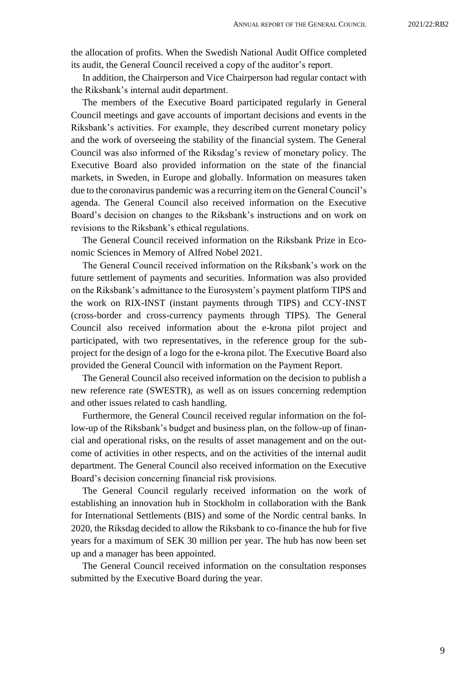the allocation of profits. When the Swedish National Audit Office completed its audit, the General Council received a copy of the auditor's report.

In addition, the Chairperson and Vice Chairperson had regular contact with the Riksbank's internal audit department.

The members of the Executive Board participated regularly in General Council meetings and gave accounts of important decisions and events in the Riksbank's activities. For example, they described current monetary policy and the work of overseeing the stability of the financial system. The General Council was also informed of the Riksdag's review of monetary policy. The Executive Board also provided information on the state of the financial markets, in Sweden, in Europe and globally. Information on measures taken due to the coronavirus pandemic was a recurring item on the General Council's agenda. The General Council also received information on the Executive Board's decision on changes to the Riksbank's instructions and on work on revisions to the Riksbank's ethical regulations.

The General Council received information on the Riksbank Prize in Economic Sciences in Memory of Alfred Nobel 2021.

The General Council received information on the Riksbank's work on the future settlement of payments and securities. Information was also provided on the Riksbank's admittance to the Eurosystem's payment platform TIPS and the work on RIX-INST (instant payments through TIPS) and CCY-INST (cross-border and cross-currency payments through TIPS). The General Council also received information about the e-krona pilot project and participated, with two representatives, in the reference group for the subproject for the design of a logo for the e-krona pilot. The Executive Board also provided the General Council with information on the Payment Report.

The General Council also received information on the decision to publish a new reference rate (SWESTR), as well as on issues concerning redemption and other issues related to cash handling.

Furthermore, the General Council received regular information on the follow-up of the Riksbank's budget and business plan, on the follow-up of financial and operational risks, on the results of asset management and on the outcome of activities in other respects, and on the activities of the internal audit department. The General Council also received information on the Executive Board's decision concerning financial risk provisions.

The General Council regularly received information on the work of establishing an innovation hub in Stockholm in collaboration with the Bank for International Settlements (BIS) and some of the Nordic central banks. In 2020, the Riksdag decided to allow the Riksbank to co-finance the hub for five years for a maximum of SEK 30 million per year. The hub has now been set up and a manager has been appointed.

The General Council received information on the consultation responses submitted by the Executive Board during the year.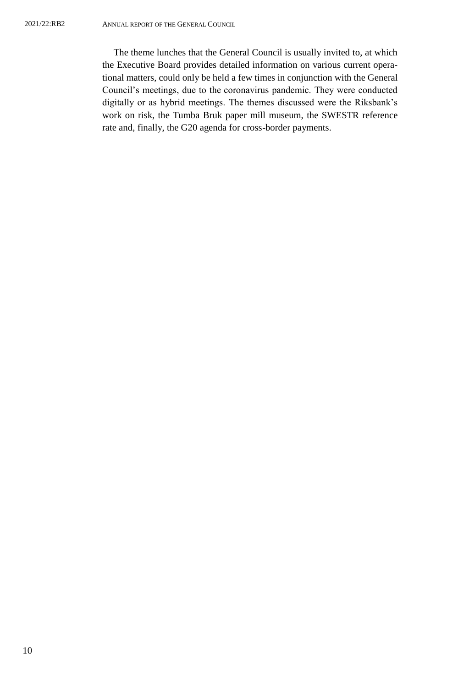The theme lunches that the General Council is usually invited to, at which the Executive Board provides detailed information on various current operational matters, could only be held a few times in conjunction with the General Council's meetings, due to the coronavirus pandemic. They were conducted digitally or as hybrid meetings. The themes discussed were the Riksbank's work on risk, the Tumba Bruk paper mill museum, the SWESTR reference rate and, finally, the G20 agenda for cross-border payments.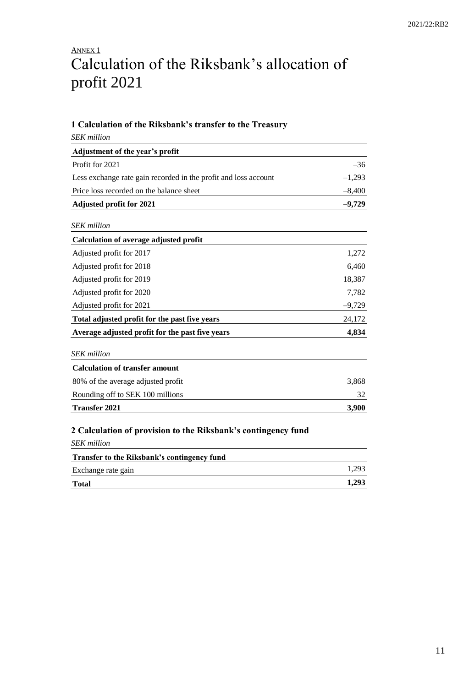## <span id="page-10-0"></span>ANNEX<sub>1</sub> Calculation of the Riksbank's allocation of profit 2021

#### **1 Calculation of the Riksbank's transfer to the Treasury**

| the ignorance a grander to the                                  |          |  |
|-----------------------------------------------------------------|----------|--|
| <b>SEK</b> million                                              |          |  |
| Adjustment of the year's profit                                 |          |  |
| Profit for 2021                                                 | $-36$    |  |
| Less exchange rate gain recorded in the profit and loss account | $-1,293$ |  |
| Price loss recorded on the balance sheet                        | $-8,400$ |  |
| <b>Adjusted profit for 2021</b>                                 | $-9,729$ |  |
| <b>SEK</b> million                                              |          |  |
| <b>Calculation of average adjusted profit</b>                   |          |  |
| Adjusted profit for 2017                                        | 1,272    |  |
| Adjusted profit for 2018                                        | 6,460    |  |
| Adjusted profit for 2019                                        | 18,387   |  |
| Adjusted profit for 2020                                        | 7,782    |  |
| Adjusted profit for 2021                                        | $-9,729$ |  |
| Total adjusted profit for the past five years                   | 24,172   |  |
| Average adjusted profit for the past five years                 | 4,834    |  |
| <b>SEK</b> million                                              |          |  |
| <b>Calculation of transfer amount</b>                           |          |  |
| 80% of the average adjusted profit                              | 3,868    |  |
| Rounding off to SEK 100 millions                                | 32       |  |
| <b>Transfer 2021</b>                                            | 3,900    |  |
|                                                                 |          |  |

#### **2 Calculation of provision to the Riksbank's contingency fund**

| <b>SEK</b> million                          |       |
|---------------------------------------------|-------|
| Transfer to the Riksbank's contingency fund |       |
| Exchange rate gain                          | 1.293 |
| <b>Total</b>                                | 1,293 |